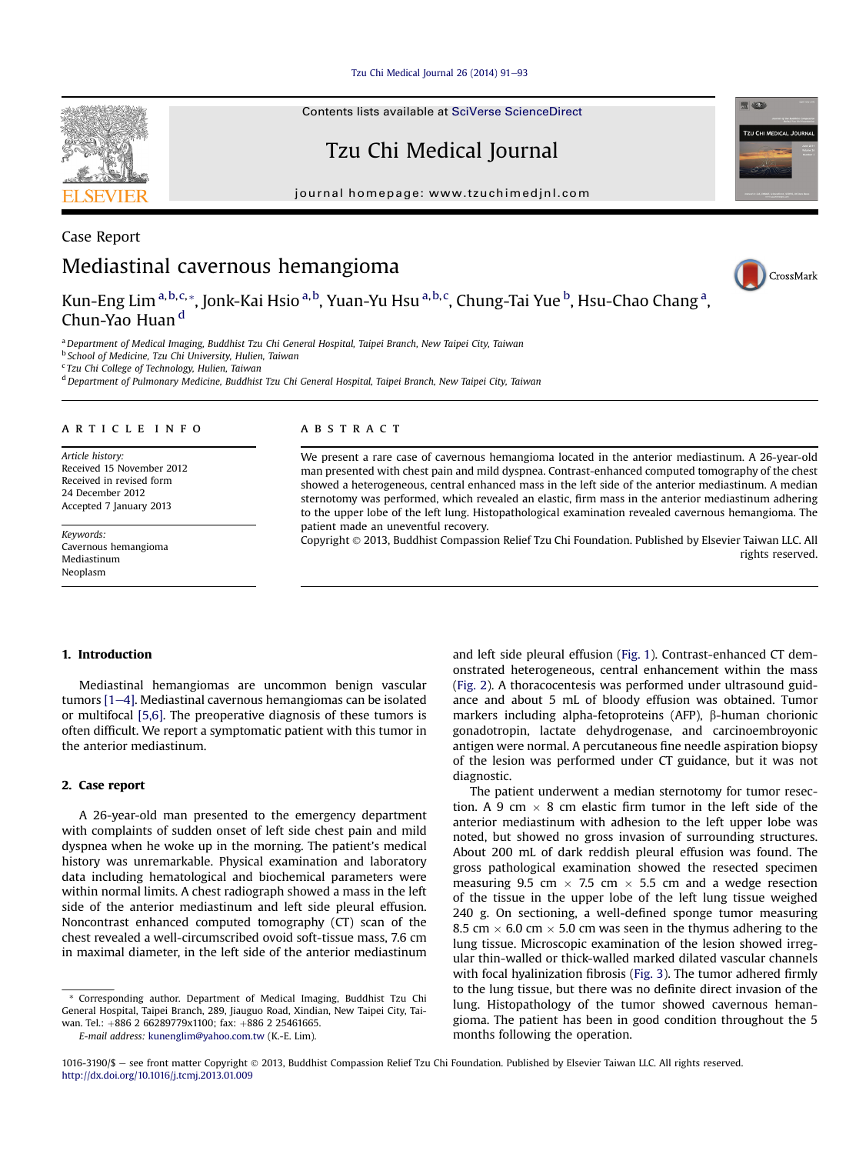[Tzu Chi Medical Journal 26 \(2014\) 91](http://dx.doi.org/10.1016/j.tcmj.2013.01.009)-[93](http://dx.doi.org/10.1016/j.tcmj.2013.01.009)

Contents lists available at [SciVerse ScienceDirect](www.sciencedirect.com/science/journal/10163190)

## Tzu Chi Medical Journal

journal homepage: [www.tzuchimedjnl.com](http://www.tzuchimedjnl.com)



Case Report

# Mediastinal cavernous hemangioma

Kun-Eng Lim <sup>a,b,c,</sup>\*, Jonk-Kai Hsio <sup>a,b</sup>, Yuan-Yu Hsu <sup>a,b,c</sup>, Chung-Tai Yue <sup>b</sup>, Hsu-Chao Chang <sup>a</sup>, Chun-Yao Huan<sup>d</sup>

CrossMark

**TZU CHI MEDICAL JOUR** 

**RELACE** 

a Department of Medical Imaging, Buddhist Tzu Chi General Hospital, Taipei Branch, New Taipei City, Taiwan

**b School of Medicine, Tzu Chi University, Hulien, Taiwan** 

<sup>c</sup> Tzu Chi College of Technology, Hulien, Taiwan

<sup>d</sup> Department of Pulmonary Medicine, Buddhist Tzu Chi General Hospital, Taipei Branch, New Taipei City, Taiwan

#### article info

Article history: Received 15 November 2012 Received in revised form 24 December 2012 Accepted 7 January 2013

Keywords: Cavernous hemangioma Mediastinum Neoplasm

#### **ABSTRACT**

We present a rare case of cavernous hemangioma located in the anterior mediastinum. A 26-year-old man presented with chest pain and mild dyspnea. Contrast-enhanced computed tomography of the chest showed a heterogeneous, central enhanced mass in the left side of the anterior mediastinum. A median sternotomy was performed, which revealed an elastic, firm mass in the anterior mediastinum adhering to the upper lobe of the left lung. Histopathological examination revealed cavernous hemangioma. The patient made an uneventful recovery.

Copyright 2013, Buddhist Compassion Relief Tzu Chi Foundation. Published by Elsevier Taiwan LLC. All rights reserved.

#### 1. Introduction

Mediastinal hemangiomas are uncommon benign vascular tumors  $[1-4]$  $[1-4]$ . Mediastinal cavernous hemangiomas can be isolated or multifocal [\[5,6\]](#page-1-0). The preoperative diagnosis of these tumors is often difficult. We report a symptomatic patient with this tumor in the anterior mediastinum.

### 2. Case report

A 26-year-old man presented to the emergency department with complaints of sudden onset of left side chest pain and mild dyspnea when he woke up in the morning. The patient's medical history was unremarkable. Physical examination and laboratory data including hematological and biochemical parameters were within normal limits. A chest radiograph showed a mass in the left side of the anterior mediastinum and left side pleural effusion. Noncontrast enhanced computed tomography (CT) scan of the chest revealed a well-circumscribed ovoid soft-tissue mass, 7.6 cm in maximal diameter, in the left side of the anterior mediastinum

\* Corresponding author. Department of Medical Imaging, Buddhist Tzu Chi General Hospital, Taipei Branch, 289, Jiauguo Road, Xindian, New Taipei City, Taiwan. Tel.: +886 2 66289779x1100; fax: +886 2 25461665.

E-mail address: [kunenglim@yahoo.com.tw](mailto:kunenglim@yahoo.com.tw) (K.-E. Lim).

and left side pleural effusion ([Fig. 1\)](#page-1-0). Contrast-enhanced CT demonstrated heterogeneous, central enhancement within the mass ([Fig. 2](#page-1-0)). A thoracocentesis was performed under ultrasound guidance and about 5 mL of bloody effusion was obtained. Tumor markers including alpha-fetoproteins (AFP),  $\beta$ -human chorionic gonadotropin, lactate dehydrogenase, and carcinoembroyonic antigen were normal. A percutaneous fine needle aspiration biopsy of the lesion was performed under CT guidance, but it was not diagnostic.

The patient underwent a median sternotomy for tumor resection. A 9 cm  $\times$  8 cm elastic firm tumor in the left side of the anterior mediastinum with adhesion to the left upper lobe was noted, but showed no gross invasion of surrounding structures. About 200 mL of dark reddish pleural effusion was found. The gross pathological examination showed the resected specimen measuring 9.5 cm  $\times$  7.5 cm  $\times$  5.5 cm and a wedge resection of the tissue in the upper lobe of the left lung tissue weighed 240 g. On sectioning, a well-defined sponge tumor measuring 8.5 cm  $\times$  6.0 cm  $\times$  5.0 cm was seen in the thymus adhering to the lung tissue. Microscopic examination of the lesion showed irregular thin-walled or thick-walled marked dilated vascular channels with focal hyalinization fibrosis [\(Fig. 3](#page-1-0)). The tumor adhered firmly to the lung tissue, but there was no definite direct invasion of the lung. Histopathology of the tumor showed cavernous hemangioma. The patient has been in good condition throughout the 5 months following the operation.

<sup>1016-3190/\$ -</sup> see front matter Copyright © 2013, Buddhist Compassion Relief Tzu Chi Foundation. Published by Elsevier Taiwan LLC. All rights reserved. <http://dx.doi.org/10.1016/j.tcmj.2013.01.009>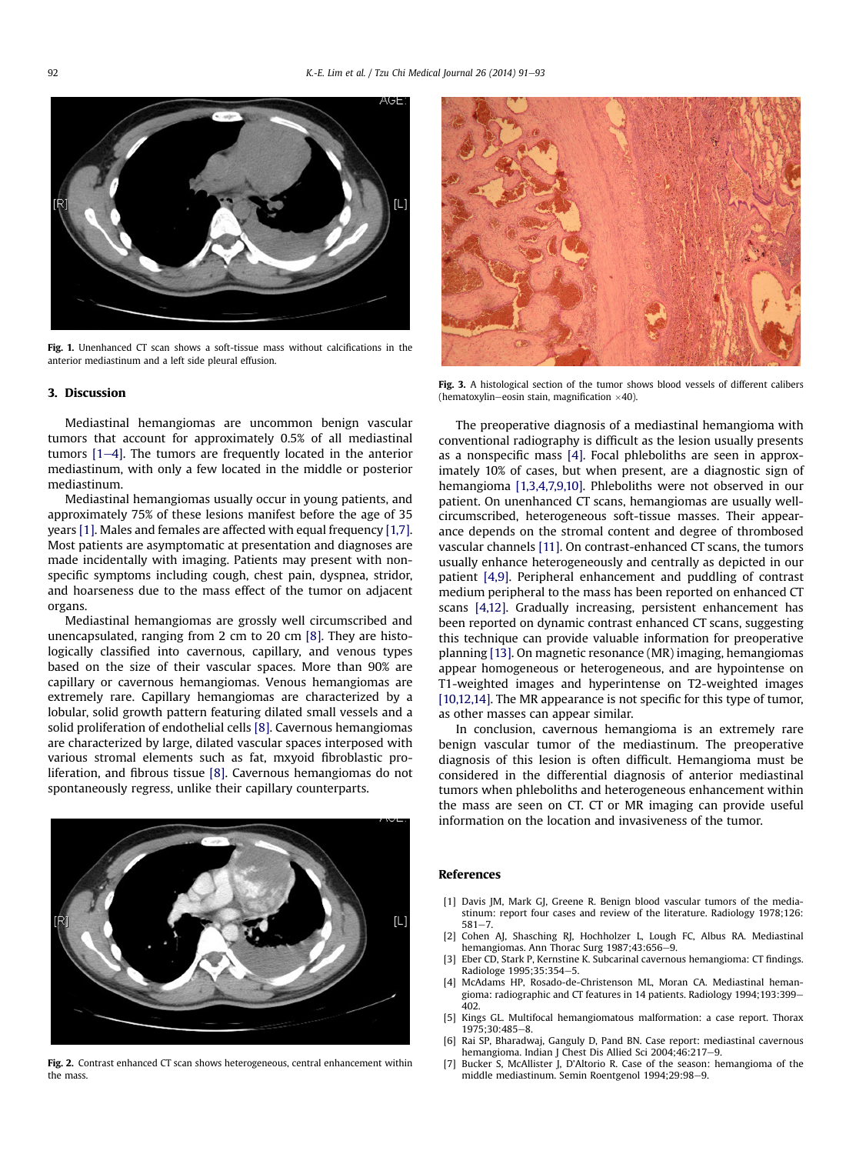<span id="page-1-0"></span>

Fig. 1. Unenhanced CT scan shows a soft-tissue mass without calcifications in the anterior mediastinum and a left side pleural effusion.

#### 3. Discussion

Mediastinal hemangiomas are uncommon benign vascular tumors that account for approximately 0.5% of all mediastinal tumors  $[1-4]$ . The tumors are frequently located in the anterior mediastinum, with only a few located in the middle or posterior mediastinum.

Mediastinal hemangiomas usually occur in young patients, and approximately 75% of these lesions manifest before the age of 35 years [1]. Males and females are affected with equal frequency [1,7]. Most patients are asymptomatic at presentation and diagnoses are made incidentally with imaging. Patients may present with nonspecific symptoms including cough, chest pain, dyspnea, stridor, and hoarseness due to the mass effect of the tumor on adjacent organs.

Mediastinal hemangiomas are grossly well circumscribed and unencapsulated, ranging from 2 cm to 20 cm [\[8\].](#page-2-0) They are histologically classified into cavernous, capillary, and venous types based on the size of their vascular spaces. More than 90% are capillary or cavernous hemangiomas. Venous hemangiomas are extremely rare. Capillary hemangiomas are characterized by a lobular, solid growth pattern featuring dilated small vessels and a solid proliferation of endothelial cells [\[8\]](#page-2-0). Cavernous hemangiomas are characterized by large, dilated vascular spaces interposed with various stromal elements such as fat, mxyoid fibroblastic proliferation, and fibrous tissue [\[8\].](#page-2-0) Cavernous hemangiomas do not spontaneously regress, unlike their capillary counterparts.



Fig. 2. Contrast enhanced CT scan shows heterogeneous, central enhancement within the mass.



Fig. 3. A histological section of the tumor shows blood vessels of different calibers (hematoxylin-eosin stain, magnification  $\times$ 40).

The preoperative diagnosis of a mediastinal hemangioma with conventional radiography is difficult as the lesion usually presents as a nonspecific mass [4]. Focal phleboliths are seen in approximately 10% of cases, but when present, are a diagnostic sign of hemangioma [1,3,4,7,9,10]. Phleboliths were not observed in our patient. On unenhanced CT scans, hemangiomas are usually wellcircumscribed, heterogeneous soft-tissue masses. Their appearance depends on the stromal content and degree of thrombosed vascular channels [\[11\]](#page-2-0). On contrast-enhanced CT scans, the tumors usually enhance heterogeneously and centrally as depicted in our patient [4,9]. Peripheral enhancement and puddling of contrast medium peripheral to the mass has been reported on enhanced CT scans [4,12]. Gradually increasing, persistent enhancement has been reported on dynamic contrast enhanced CT scans, suggesting this technique can provide valuable information for preoperative planning [\[13\].](#page-2-0) On magnetic resonance (MR) imaging, hemangiomas appear homogeneous or heterogeneous, and are hypointense on T1-weighted images and hyperintense on T2-weighted images [\[10,12,14\]](#page-2-0). The MR appearance is not specific for this type of tumor, as other masses can appear similar.

In conclusion, cavernous hemangioma is an extremely rare benign vascular tumor of the mediastinum. The preoperative diagnosis of this lesion is often difficult. Hemangioma must be considered in the differential diagnosis of anterior mediastinal tumors when phleboliths and heterogeneous enhancement within the mass are seen on CT. CT or MR imaging can provide useful information on the location and invasiveness of the tumor.

#### References

- [1] Davis JM, Mark GJ, Greene R. Benign blood vascular tumors of the mediastinum: report four cases and review of the literature. Radiology 1978;126:  $581 - 7$
- [2] Cohen AJ, Shasching RJ, Hochholzer L, Lough FC, Albus RA. Mediastinal hemangiomas. Ann Thorac Surg 1987;43:656-9.
- [3] Eber CD, Stark P, Kernstine K. Subcarinal cavernous hemangioma: CT findings. Radiologe 1995;35:354–5.<br>McAdams HP. Rosado-de-Christenson ML. Moran CA. Mediastinal heman-
- [4] McAdams HP, Rosado-de-Christenson ML, Moran CA. Mediastinal heman-gioma: radiographic and CT features in 14 patients. Radiology 1994;193:399e 402.
- [5] Kings GL. Multifocal hemangiomatous malformation: a case report. Thorax 1975;30:485-8.
- [6] Rai SP, Bharadwaj, Ganguly D, Pand BN. Case report: mediastinal cavernous hemangioma. Indian J Chest Dis Allied Sci 2004;46:217-9.
- [7] Bucker S, McAllister J, D'Altorio R. Case of the season: hemangioma of the middle mediastinum. Semin Roentgenol 1994;29:98-9.